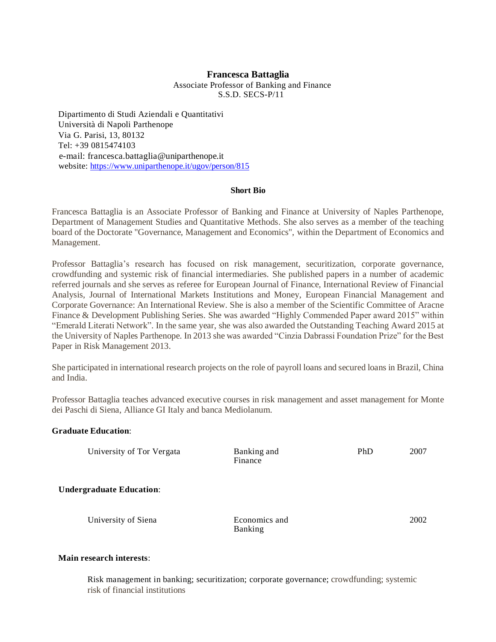#### **Francesca Battaglia**

Associate Professor of Banking and Finance S.S.D. SECS-P/11

Dipartimento di Studi Aziendali e Quantitativi Università di Napoli Parthenope Via G. Parisi, 13, 80132 Tel: +39 0815474103 e-mail: francesca.battaglia@uniparthenope.it website:<https://www.uniparthenope.it/ugov/person/815>

#### **Short Bio**

Francesca Battaglia is an Associate Professor of Banking and Finance at University of Naples Parthenope, Department of Management Studies and Quantitative Methods. She also serves as a member of the teaching board of the Doctorate "Governance, Management and Economics", within the Department of Economics and Management.

Professor Battaglia's research has focused on risk management, securitization, corporate governance, crowdfunding and systemic risk of financial intermediaries. She published papers in a number of academic referred journals and she serves as referee for European Journal of Finance, International Review of Financial Analysis, Journal of International Markets Institutions and Money, European Financial Management and Corporate Governance: An International Review. She is also a member of the Scientific Committee of Aracne Finance & Development Publishing Series. She was awarded "Highly Commended Paper award 2015" within "Emerald Literati Network". In the same year, she was also awarded the Outstanding Teaching Award 2015 at the University of Naples Parthenope. In 2013 she was awarded "Cinzia Dabrassi Foundation Prize" for the Best Paper in Risk Management 2013.

She participated in international research projects on the role of payroll loans and secured loans in Brazil, China and India.

Professor Battaglia teaches advanced executive courses in risk management and asset management for Monte dei Paschi di Siena, Alliance GI Italy and banca Mediolanum.

# **Graduate Education**:

University of Tor Vergata Banking and

Finance

PhD 2007

2002

**Undergraduate Education**:

University of Siena **Economics** and Banking

# **Main research interests**:

Risk management in banking; securitization; corporate governance; crowdfunding; systemic risk of financial institutions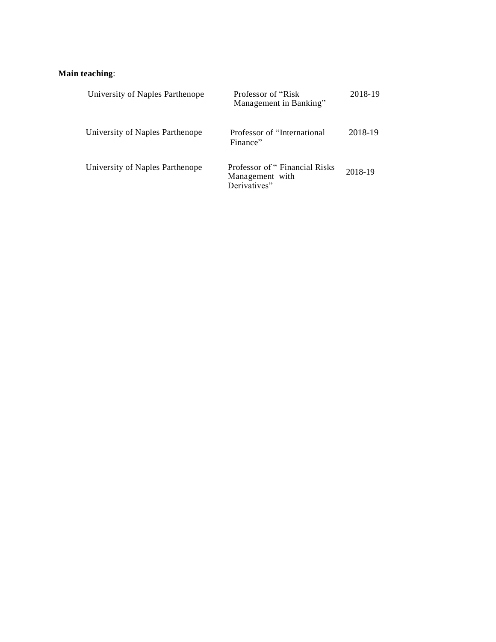# **Main teaching**:

| University of Naples Parthenope | Professor of "Risk"<br>Management in Banking"                     | 2018-19 |
|---------------------------------|-------------------------------------------------------------------|---------|
| University of Naples Parthenope | Professor of "International"<br>Finance"                          | 2018-19 |
| University of Naples Parthenope | Professor of "Financial Risks"<br>Management with<br>Derivatives" | 2018-19 |